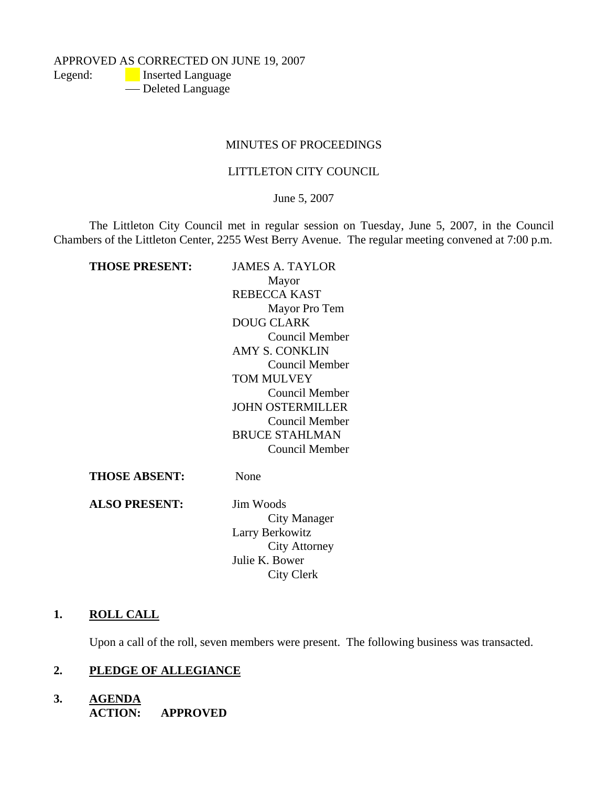APPROVED AS CORRECTED ON JUNE 19, 2007 Legend: **Inserted Language** - Deleted Language

#### MINUTES OF PROCEEDINGS

### LITTLETON CITY COUNCIL

June 5, 2007

The Littleton City Council met in regular session on Tuesday, June 5, 2007, in the Council Chambers of the Littleton Center, 2255 West Berry Avenue. The regular meeting convened at 7:00 p.m.

**THOSE PRESENT:** JAMES A. TAYLOR Mayor REBECCA KAST Mayor Pro Tem DOUG CLARK Council Member AMY S. CONKLIN Council Member TOM MULVEY Council Member JOHN OSTERMILLER Council Member BRUCE STAHLMAN Council Member **THOSE ABSENT:** None

**ALSO PRESENT:** Jim Woods City Manager Larry Berkowitz City Attorney Julie K. Bower City Clerk

#### **1. ROLL CALL**

Upon a call of the roll, seven members were present. The following business was transacted.

### **2. PLEDGE OF ALLEGIANCE**

**3. AGENDA ACTION: APPROVED**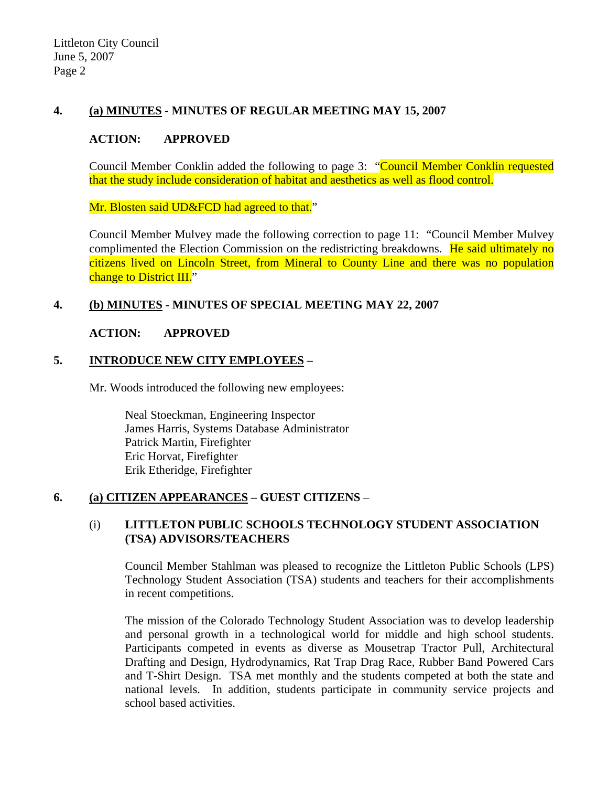# **4. (a) MINUTES - MINUTES OF REGULAR MEETING MAY 15, 2007**

## **ACTION: APPROVED**

Council Member Conklin added the following to page 3: "Council Member Conklin requested that the study include consideration of habitat and aesthetics as well as flood control.

Mr. Blosten said UD&FCD had agreed to that."

Council Member Mulvey made the following correction to page 11: "Council Member Mulvey complimented the Election Commission on the redistricting breakdowns. He said ultimately no citizens lived on Lincoln Street, from Mineral to County Line and there was no population change to District III."

# **4. (b) MINUTES - MINUTES OF SPECIAL MEETING MAY 22, 2007**

### **ACTION: APPROVED**

# **5. INTRODUCE NEW CITY EMPLOYEES –**

Mr. Woods introduced the following new employees:

 Neal Stoeckman, Engineering Inspector James Harris, Systems Database Administrator Patrick Martin, Firefighter Eric Horvat, Firefighter Erik Etheridge, Firefighter

# **6. (a) CITIZEN APPEARANCES – GUEST CITIZENS** –

# (i) **LITTLETON PUBLIC SCHOOLS TECHNOLOGY STUDENT ASSOCIATION (TSA) ADVISORS/TEACHERS**

Council Member Stahlman was pleased to recognize the Littleton Public Schools (LPS) Technology Student Association (TSA) students and teachers for their accomplishments in recent competitions.

The mission of the Colorado Technology Student Association was to develop leadership and personal growth in a technological world for middle and high school students. Participants competed in events as diverse as Mousetrap Tractor Pull, Architectural Drafting and Design, Hydrodynamics, Rat Trap Drag Race, Rubber Band Powered Cars and T-Shirt Design. TSA met monthly and the students competed at both the state and national levels. In addition, students participate in community service projects and school based activities.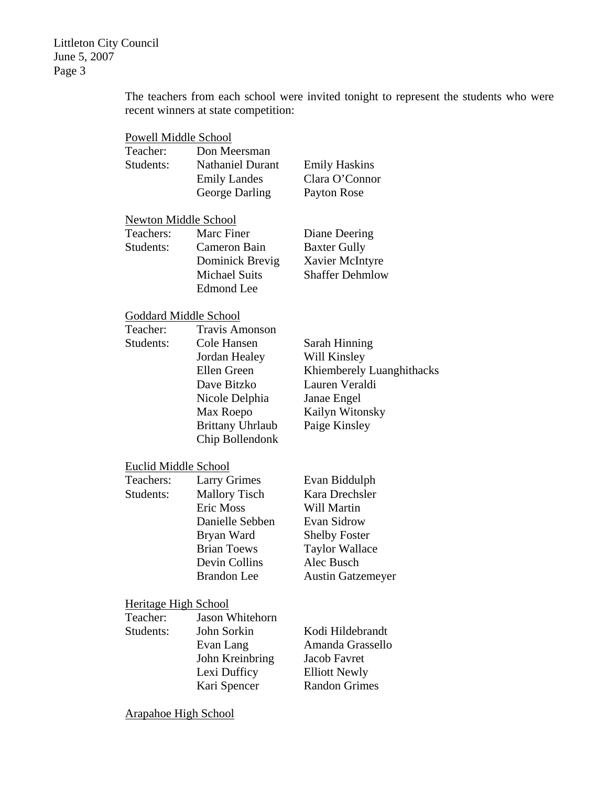The teachers from each school were invited tonight to represent the students who were recent winners at state competition:

| <b>Powell Middle School</b>  |                                                                                                                                                                  |                                                                                                                                                                 |  |  |
|------------------------------|------------------------------------------------------------------------------------------------------------------------------------------------------------------|-----------------------------------------------------------------------------------------------------------------------------------------------------------------|--|--|
| Teacher:<br>Students:        | Don Meersman<br><b>Nathaniel Durant</b><br><b>Emily Landes</b><br>George Darling                                                                                 | <b>Emily Haskins</b><br>Clara O'Connor<br>Payton Rose                                                                                                           |  |  |
| <b>Newton Middle School</b>  |                                                                                                                                                                  |                                                                                                                                                                 |  |  |
| Teachers:<br>Students:       | Marc Finer<br>Cameron Bain<br>Dominick Brevig<br><b>Michael Suits</b><br><b>Edmond</b> Lee                                                                       | Diane Deering<br><b>Baxter Gully</b><br>Xavier McIntyre<br><b>Shaffer Dehmlow</b>                                                                               |  |  |
| <b>Goddard Middle School</b> |                                                                                                                                                                  |                                                                                                                                                                 |  |  |
| Teacher:<br>Students:        | <b>Travis Amonson</b><br>Cole Hansen<br>Jordan Healey<br>Ellen Green<br>Dave Bitzko<br>Nicole Delphia<br>Max Roepo<br><b>Brittany Uhrlaub</b><br>Chip Bollendonk | Sarah Hinning<br>Will Kinsley<br>Khiemberely Luanghithacks<br>Lauren Veraldi<br>Janae Engel<br>Kailyn Witonsky<br>Paige Kinsley                                 |  |  |
| Euclid Middle School         |                                                                                                                                                                  |                                                                                                                                                                 |  |  |
| Teachers:<br>Students:       | <b>Larry Grimes</b><br><b>Mallory Tisch</b><br>Eric Moss<br>Danielle Sebben<br>Bryan Ward<br><b>Brian Toews</b><br>Devin Collins<br><b>Brandon</b> Lee           | Evan Biddulph<br>Kara Drechsler<br>Will Martin<br><b>Evan Sidrow</b><br><b>Shelby Foster</b><br><b>Taylor Wallace</b><br>Alec Busch<br><b>Austin Gatzemeyer</b> |  |  |
| <b>Heritage High School</b>  |                                                                                                                                                                  |                                                                                                                                                                 |  |  |
| Teacher:<br>Students:        | Jason Whitehorn<br>John Sorkin<br>Evan Lang<br>John Kreinbring<br>Lexi Dufficy<br>Kari Spencer                                                                   | Kodi Hildebrandt<br>Amanda Grassello<br>Jacob Favret<br><b>Elliott Newly</b><br><b>Randon Grimes</b>                                                            |  |  |
| <u>Arapahoe High School</u>  |                                                                                                                                                                  |                                                                                                                                                                 |  |  |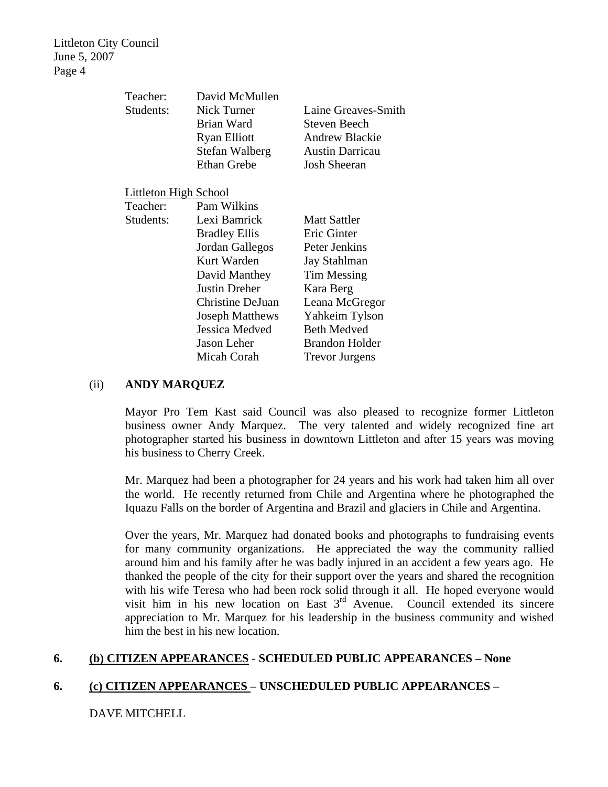| Teacher:                     | David McMullen         |                        |
|------------------------------|------------------------|------------------------|
| Students:                    | Nick Turner            | Laine Greaves-Smith    |
|                              | Brian Ward             | Steven Beech           |
|                              | <b>Ryan Elliott</b>    | <b>Andrew Blackie</b>  |
|                              | Stefan Walberg         | <b>Austin Darricau</b> |
|                              | <b>Ethan Grebe</b>     | <b>Josh Sheeran</b>    |
| <b>Littleton High School</b> |                        |                        |
| Teacher:                     | Pam Wilkins            |                        |
| Students:                    | Lexi Bamrick           | <b>Matt Sattler</b>    |
|                              | <b>Bradley Ellis</b>   | Eric Ginter            |
|                              | Jordan Gallegos        | Peter Jenkins          |
|                              | Kurt Warden            | Jay Stahlman           |
|                              | David Manthey          | Tim Messing            |
|                              | <b>Justin Dreher</b>   | Kara Berg              |
|                              | Christine DeJuan       | Leana McGregor         |
|                              | <b>Joseph Matthews</b> | Yahkeim Tylson         |
|                              | Jessica Medved         | <b>Beth Medved</b>     |
|                              | Jason Leher            | <b>Brandon Holder</b>  |
|                              | Micah Corah            | <b>Trevor Jurgens</b>  |

#### (ii) **ANDY MARQUEZ**

Mayor Pro Tem Kast said Council was also pleased to recognize former Littleton business owner Andy Marquez. The very talented and widely recognized fine art photographer started his business in downtown Littleton and after 15 years was moving his business to Cherry Creek.

Mr. Marquez had been a photographer for 24 years and his work had taken him all over the world. He recently returned from Chile and Argentina where he photographed the Iquazu Falls on the border of Argentina and Brazil and glaciers in Chile and Argentina.

Over the years, Mr. Marquez had donated books and photographs to fundraising events for many community organizations. He appreciated the way the community rallied around him and his family after he was badly injured in an accident a few years ago. He thanked the people of the city for their support over the years and shared the recognition with his wife Teresa who had been rock solid through it all. He hoped everyone would visit him in his new location on East  $3<sup>rd</sup>$  Avenue. Council extended its sincere appreciation to Mr. Marquez for his leadership in the business community and wished him the best in his new location.

### **6. (b) CITIZEN APPEARANCES** - **SCHEDULED PUBLIC APPEARANCES – None**

# **6. (c) CITIZEN APPEARANCES – UNSCHEDULED PUBLIC APPEARANCES –**

DAVE MITCHELL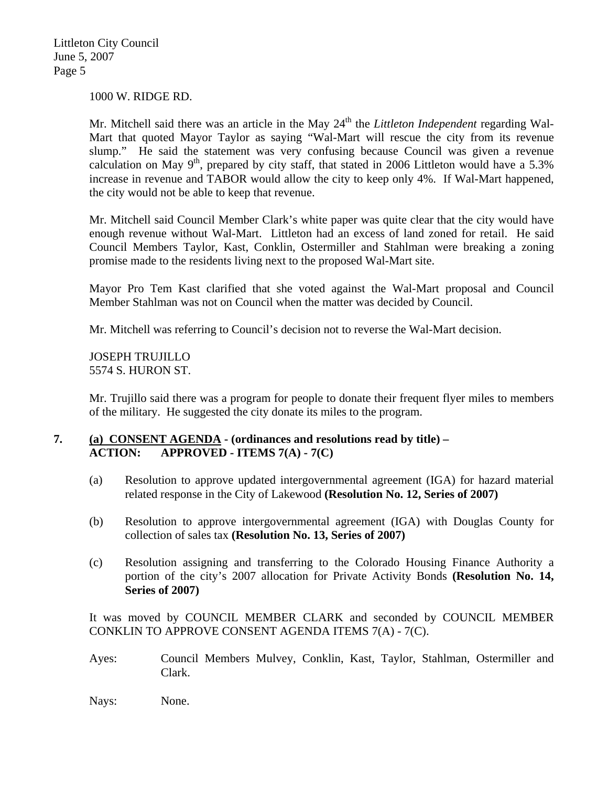1000 W. RIDGE RD.

Mr. Mitchell said there was an article in the May 24<sup>th</sup> the *Littleton Independent* regarding Wal-Mart that quoted Mayor Taylor as saying "Wal-Mart will rescue the city from its revenue slump." He said the statement was very confusing because Council was given a revenue calculation on May 9<sup>th</sup>, prepared by city staff, that stated in 2006 Littleton would have a 5.3% increase in revenue and TABOR would allow the city to keep only 4%. If Wal-Mart happened, the city would not be able to keep that revenue.

Mr. Mitchell said Council Member Clark's white paper was quite clear that the city would have enough revenue without Wal-Mart. Littleton had an excess of land zoned for retail. He said Council Members Taylor, Kast, Conklin, Ostermiller and Stahlman were breaking a zoning promise made to the residents living next to the proposed Wal-Mart site.

Mayor Pro Tem Kast clarified that she voted against the Wal-Mart proposal and Council Member Stahlman was not on Council when the matter was decided by Council.

Mr. Mitchell was referring to Council's decision not to reverse the Wal-Mart decision.

JOSEPH TRUJILLO 5574 S. HURON ST.

Mr. Trujillo said there was a program for people to donate their frequent flyer miles to members of the military. He suggested the city donate its miles to the program.

# **7. (a) CONSENT AGENDA - (ordinances and resolutions read by title) – ACTION: APPROVED - ITEMS 7(A) - 7(C)**

- (a) Resolution to approve updated intergovernmental agreement (IGA) for hazard material related response in the City of Lakewood **(Resolution No. 12, Series of 2007)**
- (b) Resolution to approve intergovernmental agreement (IGA) with Douglas County for collection of sales tax **(Resolution No. 13, Series of 2007)**
- (c) Resolution assigning and transferring to the Colorado Housing Finance Authority a portion of the city's 2007 allocation for Private Activity Bonds **(Resolution No. 14, Series of 2007)**

It was moved by COUNCIL MEMBER CLARK and seconded by COUNCIL MEMBER CONKLIN TO APPROVE CONSENT AGENDA ITEMS 7(A) - 7(C).

Ayes: Council Members Mulvey, Conklin, Kast, Taylor, Stahlman, Ostermiller and Clark.

Nays: None.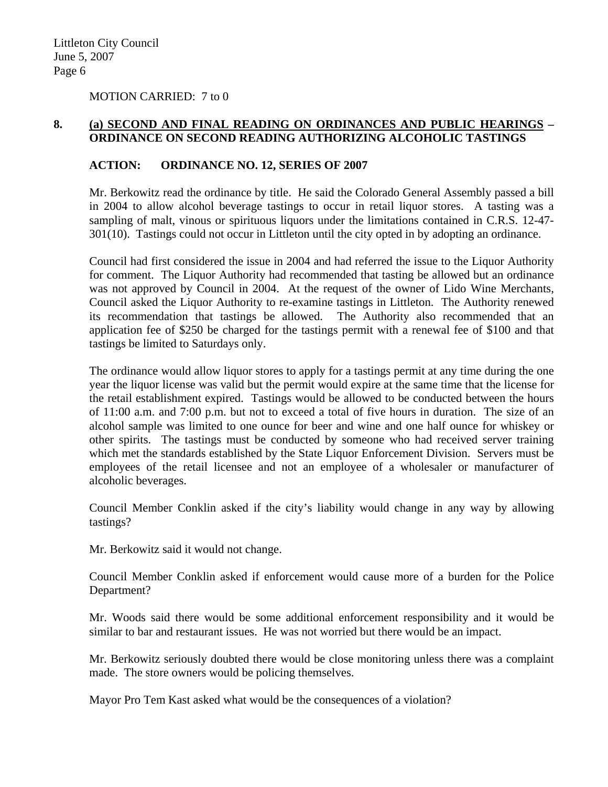MOTION CARRIED: 7 to 0

## **8. (a) SECOND AND FINAL READING ON ORDINANCES AND PUBLIC HEARINGS – ORDINANCE ON SECOND READING AUTHORIZING ALCOHOLIC TASTINGS**

### **ACTION: ORDINANCE NO. 12, SERIES OF 2007**

Mr. Berkowitz read the ordinance by title. He said the Colorado General Assembly passed a bill in 2004 to allow alcohol beverage tastings to occur in retail liquor stores. A tasting was a sampling of malt, vinous or spirituous liquors under the limitations contained in C.R.S. 12-47- 301(10). Tastings could not occur in Littleton until the city opted in by adopting an ordinance.

Council had first considered the issue in 2004 and had referred the issue to the Liquor Authority for comment. The Liquor Authority had recommended that tasting be allowed but an ordinance was not approved by Council in 2004. At the request of the owner of Lido Wine Merchants, Council asked the Liquor Authority to re-examine tastings in Littleton. The Authority renewed its recommendation that tastings be allowed. The Authority also recommended that an application fee of \$250 be charged for the tastings permit with a renewal fee of \$100 and that tastings be limited to Saturdays only.

The ordinance would allow liquor stores to apply for a tastings permit at any time during the one year the liquor license was valid but the permit would expire at the same time that the license for the retail establishment expired. Tastings would be allowed to be conducted between the hours of 11:00 a.m. and 7:00 p.m. but not to exceed a total of five hours in duration. The size of an alcohol sample was limited to one ounce for beer and wine and one half ounce for whiskey or other spirits. The tastings must be conducted by someone who had received server training which met the standards established by the State Liquor Enforcement Division. Servers must be employees of the retail licensee and not an employee of a wholesaler or manufacturer of alcoholic beverages.

Council Member Conklin asked if the city's liability would change in any way by allowing tastings?

Mr. Berkowitz said it would not change.

Council Member Conklin asked if enforcement would cause more of a burden for the Police Department?

Mr. Woods said there would be some additional enforcement responsibility and it would be similar to bar and restaurant issues. He was not worried but there would be an impact.

Mr. Berkowitz seriously doubted there would be close monitoring unless there was a complaint made. The store owners would be policing themselves.

Mayor Pro Tem Kast asked what would be the consequences of a violation?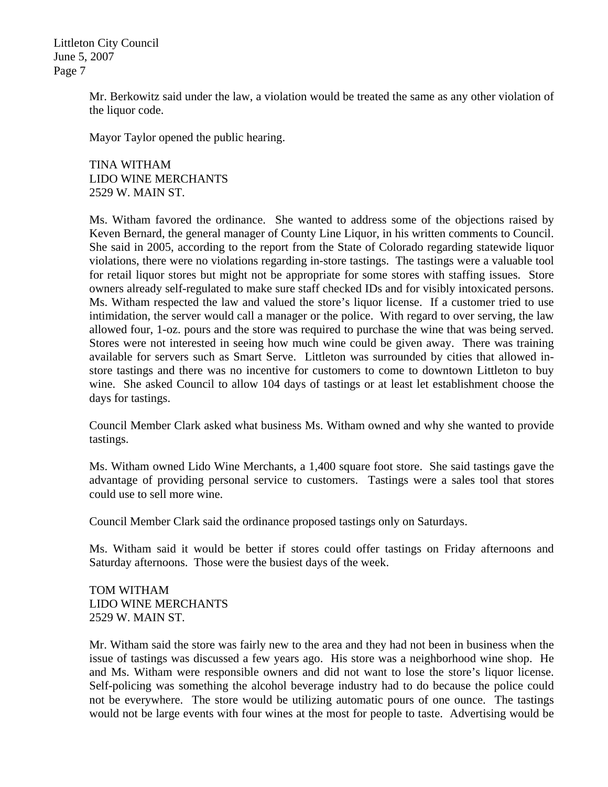> Mr. Berkowitz said under the law, a violation would be treated the same as any other violation of the liquor code.

Mayor Taylor opened the public hearing.

TINA WITHAM LIDO WINE MERCHANTS 2529 W. MAIN ST.

Ms. Witham favored the ordinance. She wanted to address some of the objections raised by Keven Bernard, the general manager of County Line Liquor, in his written comments to Council. She said in 2005, according to the report from the State of Colorado regarding statewide liquor violations, there were no violations regarding in-store tastings. The tastings were a valuable tool for retail liquor stores but might not be appropriate for some stores with staffing issues. Store owners already self-regulated to make sure staff checked IDs and for visibly intoxicated persons. Ms. Witham respected the law and valued the store's liquor license. If a customer tried to use intimidation, the server would call a manager or the police. With regard to over serving, the law allowed four, 1-oz. pours and the store was required to purchase the wine that was being served. Stores were not interested in seeing how much wine could be given away. There was training available for servers such as Smart Serve. Littleton was surrounded by cities that allowed instore tastings and there was no incentive for customers to come to downtown Littleton to buy wine. She asked Council to allow 104 days of tastings or at least let establishment choose the days for tastings.

Council Member Clark asked what business Ms. Witham owned and why she wanted to provide tastings.

Ms. Witham owned Lido Wine Merchants, a 1,400 square foot store. She said tastings gave the advantage of providing personal service to customers. Tastings were a sales tool that stores could use to sell more wine.

Council Member Clark said the ordinance proposed tastings only on Saturdays.

Ms. Witham said it would be better if stores could offer tastings on Friday afternoons and Saturday afternoons. Those were the busiest days of the week.

TOM WITHAM LIDO WINE MERCHANTS 2529 W. MAIN ST.

Mr. Witham said the store was fairly new to the area and they had not been in business when the issue of tastings was discussed a few years ago. His store was a neighborhood wine shop. He and Ms. Witham were responsible owners and did not want to lose the store's liquor license. Self-policing was something the alcohol beverage industry had to do because the police could not be everywhere. The store would be utilizing automatic pours of one ounce. The tastings would not be large events with four wines at the most for people to taste. Advertising would be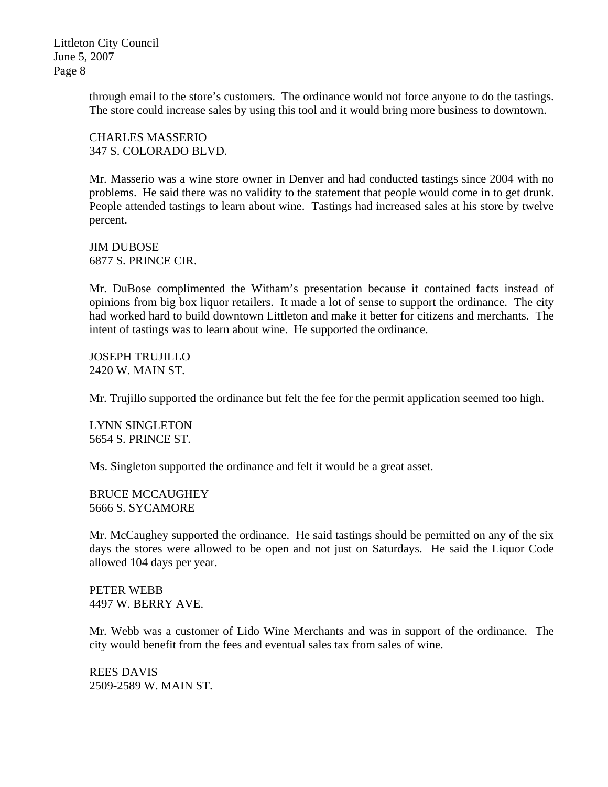> through email to the store's customers. The ordinance would not force anyone to do the tastings. The store could increase sales by using this tool and it would bring more business to downtown.

CHARLES MASSERIO 347 S. COLORADO BLVD.

Mr. Masserio was a wine store owner in Denver and had conducted tastings since 2004 with no problems. He said there was no validity to the statement that people would come in to get drunk. People attended tastings to learn about wine. Tastings had increased sales at his store by twelve percent.

JIM DUBOSE 6877 S. PRINCE CIR.

Mr. DuBose complimented the Witham's presentation because it contained facts instead of opinions from big box liquor retailers. It made a lot of sense to support the ordinance. The city had worked hard to build downtown Littleton and make it better for citizens and merchants. The intent of tastings was to learn about wine. He supported the ordinance.

JOSEPH TRUJILLO 2420 W. MAIN ST.

Mr. Trujillo supported the ordinance but felt the fee for the permit application seemed too high.

LYNN SINGLETON 5654 S. PRINCE ST.

Ms. Singleton supported the ordinance and felt it would be a great asset.

BRUCE MCCAUGHEY 5666 S. SYCAMORE

Mr. McCaughey supported the ordinance. He said tastings should be permitted on any of the six days the stores were allowed to be open and not just on Saturdays. He said the Liquor Code allowed 104 days per year.

PETER WEBB 4497 W. BERRY AVE.

Mr. Webb was a customer of Lido Wine Merchants and was in support of the ordinance. The city would benefit from the fees and eventual sales tax from sales of wine.

REES DAVIS 2509-2589 W. MAIN ST.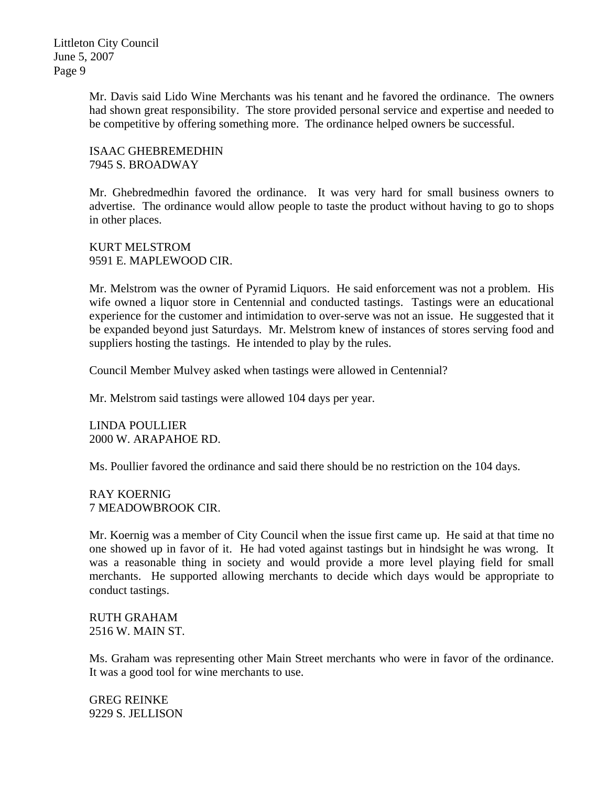> Mr. Davis said Lido Wine Merchants was his tenant and he favored the ordinance. The owners had shown great responsibility. The store provided personal service and expertise and needed to be competitive by offering something more. The ordinance helped owners be successful.

ISAAC GHEBREMEDHIN 7945 S. BROADWAY

Mr. Ghebredmedhin favored the ordinance. It was very hard for small business owners to advertise. The ordinance would allow people to taste the product without having to go to shops in other places.

KURT MELSTROM 9591 E. MAPLEWOOD CIR.

Mr. Melstrom was the owner of Pyramid Liquors. He said enforcement was not a problem. His wife owned a liquor store in Centennial and conducted tastings. Tastings were an educational experience for the customer and intimidation to over-serve was not an issue. He suggested that it be expanded beyond just Saturdays. Mr. Melstrom knew of instances of stores serving food and suppliers hosting the tastings. He intended to play by the rules.

Council Member Mulvey asked when tastings were allowed in Centennial?

Mr. Melstrom said tastings were allowed 104 days per year.

LINDA POULLIER 2000 W. ARAPAHOE RD.

Ms. Poullier favored the ordinance and said there should be no restriction on the 104 days.

RAY KOERNIG 7 MEADOWBROOK CIR.

Mr. Koernig was a member of City Council when the issue first came up. He said at that time no one showed up in favor of it. He had voted against tastings but in hindsight he was wrong. It was a reasonable thing in society and would provide a more level playing field for small merchants. He supported allowing merchants to decide which days would be appropriate to conduct tastings.

RUTH GRAHAM 2516 W. MAIN ST.

Ms. Graham was representing other Main Street merchants who were in favor of the ordinance. It was a good tool for wine merchants to use.

GREG REINKE 9229 S. JELLISON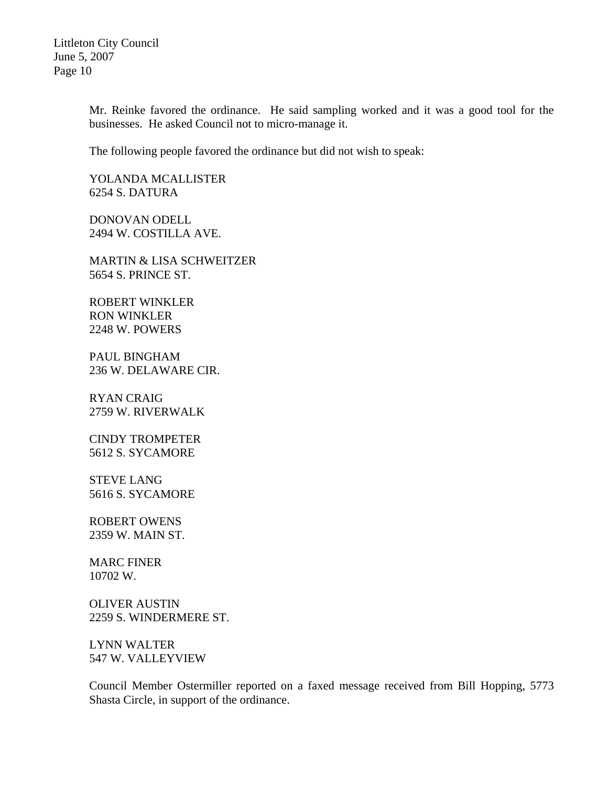> Mr. Reinke favored the ordinance. He said sampling worked and it was a good tool for the businesses. He asked Council not to micro-manage it.

The following people favored the ordinance but did not wish to speak:

YOLANDA MCALLISTER 6254 S. DATURA

DONOVAN ODELL 2494 W. COSTILLA AVE.

MARTIN & LISA SCHWEITZER 5654 S. PRINCE ST.

ROBERT WINKLER RON WINKLER 2248 W. POWERS

PAUL BINGHAM 236 W. DELAWARE CIR.

RYAN CRAIG 2759 W. RIVERWALK

CINDY TROMPETER 5612 S. SYCAMORE

STEVE LANG 5616 S. SYCAMORE

ROBERT OWENS 2359 W. MAIN ST.

MARC FINER 10702 W.

OLIVER AUSTIN 2259 S. WINDERMERE ST.

LYNN WALTER 547 W. VALLEYVIEW

Council Member Ostermiller reported on a faxed message received from Bill Hopping, 5773 Shasta Circle, in support of the ordinance.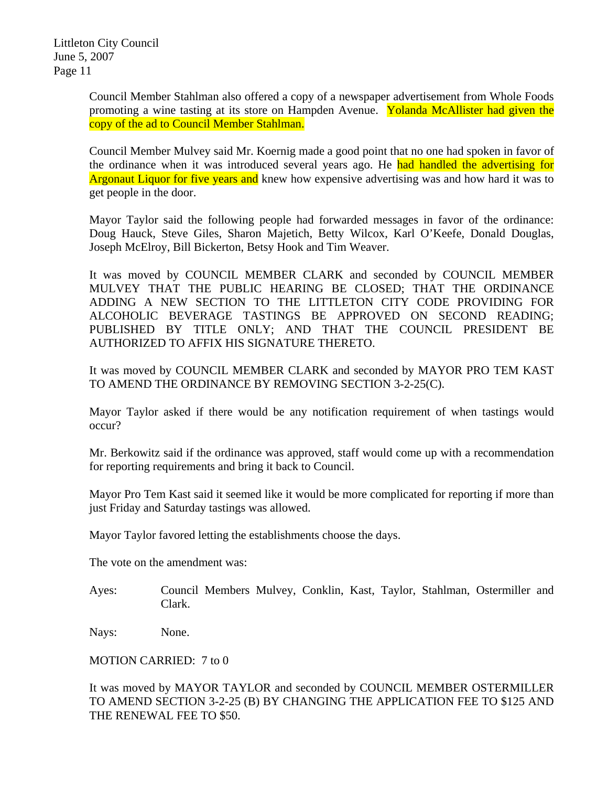> Council Member Stahlman also offered a copy of a newspaper advertisement from Whole Foods promoting a wine tasting at its store on Hampden Avenue. Yolanda McAllister had given the copy of the ad to Council Member Stahlman.

> Council Member Mulvey said Mr. Koernig made a good point that no one had spoken in favor of the ordinance when it was introduced several years ago. He had handled the advertising for Argonaut Liquor for five years and knew how expensive advertising was and how hard it was to get people in the door.

> Mayor Taylor said the following people had forwarded messages in favor of the ordinance: Doug Hauck, Steve Giles, Sharon Majetich, Betty Wilcox, Karl O'Keefe, Donald Douglas, Joseph McElroy, Bill Bickerton, Betsy Hook and Tim Weaver.

> It was moved by COUNCIL MEMBER CLARK and seconded by COUNCIL MEMBER MULVEY THAT THE PUBLIC HEARING BE CLOSED; THAT THE ORDINANCE ADDING A NEW SECTION TO THE LITTLETON CITY CODE PROVIDING FOR ALCOHOLIC BEVERAGE TASTINGS BE APPROVED ON SECOND READING; PUBLISHED BY TITLE ONLY; AND THAT THE COUNCIL PRESIDENT BE AUTHORIZED TO AFFIX HIS SIGNATURE THERETO.

> It was moved by COUNCIL MEMBER CLARK and seconded by MAYOR PRO TEM KAST TO AMEND THE ORDINANCE BY REMOVING SECTION 3-2-25(C).

> Mayor Taylor asked if there would be any notification requirement of when tastings would occur?

> Mr. Berkowitz said if the ordinance was approved, staff would come up with a recommendation for reporting requirements and bring it back to Council.

> Mayor Pro Tem Kast said it seemed like it would be more complicated for reporting if more than just Friday and Saturday tastings was allowed.

Mayor Taylor favored letting the establishments choose the days.

The vote on the amendment was:

Ayes: Council Members Mulvey, Conklin, Kast, Taylor, Stahlman, Ostermiller and Clark.

Nays: None.

MOTION CARRIED: 7 to 0

It was moved by MAYOR TAYLOR and seconded by COUNCIL MEMBER OSTERMILLER TO AMEND SECTION 3-2-25 (B) BY CHANGING THE APPLICATION FEE TO \$125 AND THE RENEWAL FEE TO \$50.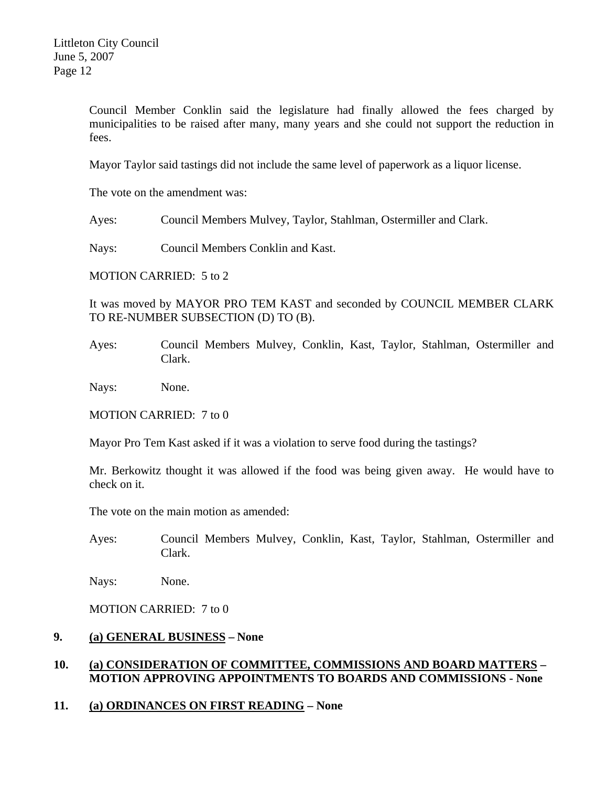Council Member Conklin said the legislature had finally allowed the fees charged by municipalities to be raised after many, many years and she could not support the reduction in fees.

Mayor Taylor said tastings did not include the same level of paperwork as a liquor license.

The vote on the amendment was:

Ayes: Council Members Mulvey, Taylor, Stahlman, Ostermiller and Clark.

Nays: Council Members Conklin and Kast.

MOTION CARRIED: 5 to 2

It was moved by MAYOR PRO TEM KAST and seconded by COUNCIL MEMBER CLARK TO RE-NUMBER SUBSECTION (D) TO (B).

Ayes: Council Members Mulvey, Conklin, Kast, Taylor, Stahlman, Ostermiller and Clark.

Nays: None.

MOTION CARRIED: 7 to 0

Mayor Pro Tem Kast asked if it was a violation to serve food during the tastings?

Mr. Berkowitz thought it was allowed if the food was being given away. He would have to check on it.

The vote on the main motion as amended:

Ayes: Council Members Mulvey, Conklin, Kast, Taylor, Stahlman, Ostermiller and Clark.

Nays: None.

MOTION CARRIED: 7 to 0

# **9. (a) GENERAL BUSINESS – None**

# **10. (a) CONSIDERATION OF COMMITTEE, COMMISSIONS AND BOARD MATTERS – MOTION APPROVING APPOINTMENTS TO BOARDS AND COMMISSIONS - None**

### **11. (a) ORDINANCES ON FIRST READING – None**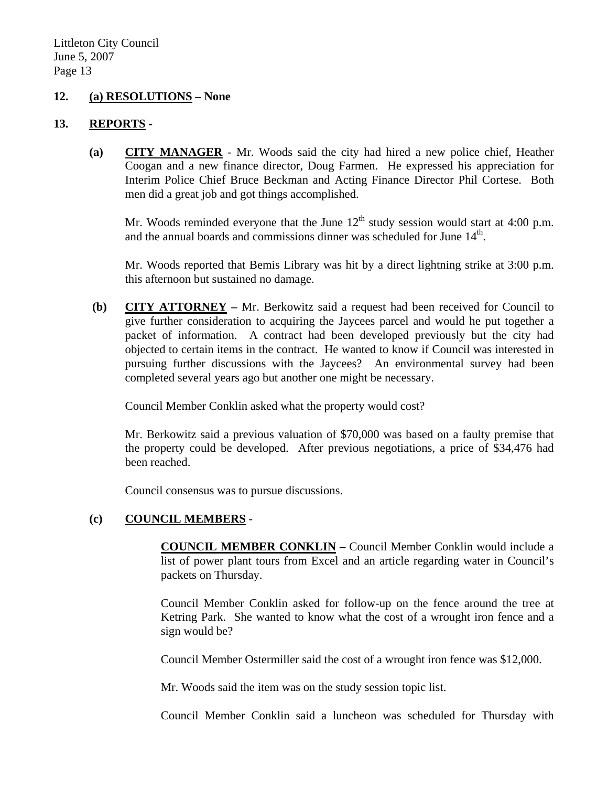#### **12. (a) RESOLUTIONS – None**

#### **13. REPORTS -**

**(a) CITY MANAGER** - Mr. Woods said the city had hired a new police chief, Heather Coogan and a new finance director, Doug Farmen. He expressed his appreciation for Interim Police Chief Bruce Beckman and Acting Finance Director Phil Cortese. Both men did a great job and got things accomplished.

Mr. Woods reminded everyone that the June  $12<sup>th</sup>$  study session would start at 4:00 p.m. and the annual boards and commissions dinner was scheduled for June 14<sup>th</sup>.

Mr. Woods reported that Bemis Library was hit by a direct lightning strike at 3:00 p.m. this afternoon but sustained no damage.

 **(b) CITY ATTORNEY –** Mr. Berkowitz said a request had been received for Council to give further consideration to acquiring the Jaycees parcel and would he put together a packet of information. A contract had been developed previously but the city had objected to certain items in the contract. He wanted to know if Council was interested in pursuing further discussions with the Jaycees? An environmental survey had been completed several years ago but another one might be necessary.

Council Member Conklin asked what the property would cost?

Mr. Berkowitz said a previous valuation of \$70,000 was based on a faulty premise that the property could be developed. After previous negotiations, a price of \$34,476 had been reached.

Council consensus was to pursue discussions.

### **(c) COUNCIL MEMBERS** -

**COUNCIL MEMBER CONKLIN –** Council Member Conklin would include a list of power plant tours from Excel and an article regarding water in Council's packets on Thursday.

Council Member Conklin asked for follow-up on the fence around the tree at Ketring Park. She wanted to know what the cost of a wrought iron fence and a sign would be?

Council Member Ostermiller said the cost of a wrought iron fence was \$12,000.

Mr. Woods said the item was on the study session topic list.

Council Member Conklin said a luncheon was scheduled for Thursday with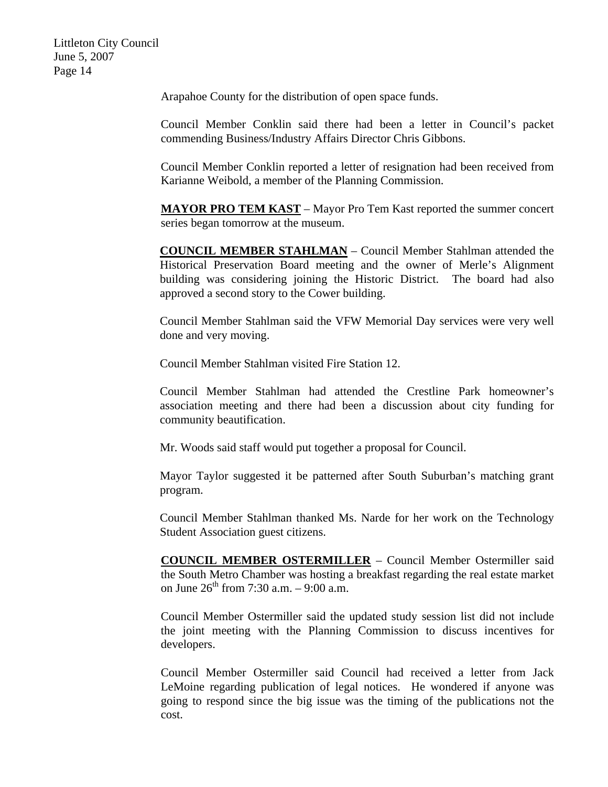Arapahoe County for the distribution of open space funds.

Council Member Conklin said there had been a letter in Council's packet commending Business/Industry Affairs Director Chris Gibbons.

Council Member Conklin reported a letter of resignation had been received from Karianne Weibold, a member of the Planning Commission.

**MAYOR PRO TEM KAST** – Mayor Pro Tem Kast reported the summer concert series began tomorrow at the museum.

**COUNCIL MEMBER STAHLMAN** – Council Member Stahlman attended the Historical Preservation Board meeting and the owner of Merle's Alignment building was considering joining the Historic District. The board had also approved a second story to the Cower building.

Council Member Stahlman said the VFW Memorial Day services were very well done and very moving.

Council Member Stahlman visited Fire Station 12.

Council Member Stahlman had attended the Crestline Park homeowner's association meeting and there had been a discussion about city funding for community beautification.

Mr. Woods said staff would put together a proposal for Council.

Mayor Taylor suggested it be patterned after South Suburban's matching grant program.

Council Member Stahlman thanked Ms. Narde for her work on the Technology Student Association guest citizens.

**COUNCIL MEMBER OSTERMILLER** – Council Member Ostermiller said the South Metro Chamber was hosting a breakfast regarding the real estate market on June  $26^{th}$  from 7:30 a.m. – 9:00 a.m.

Council Member Ostermiller said the updated study session list did not include the joint meeting with the Planning Commission to discuss incentives for developers.

Council Member Ostermiller said Council had received a letter from Jack LeMoine regarding publication of legal notices. He wondered if anyone was going to respond since the big issue was the timing of the publications not the cost.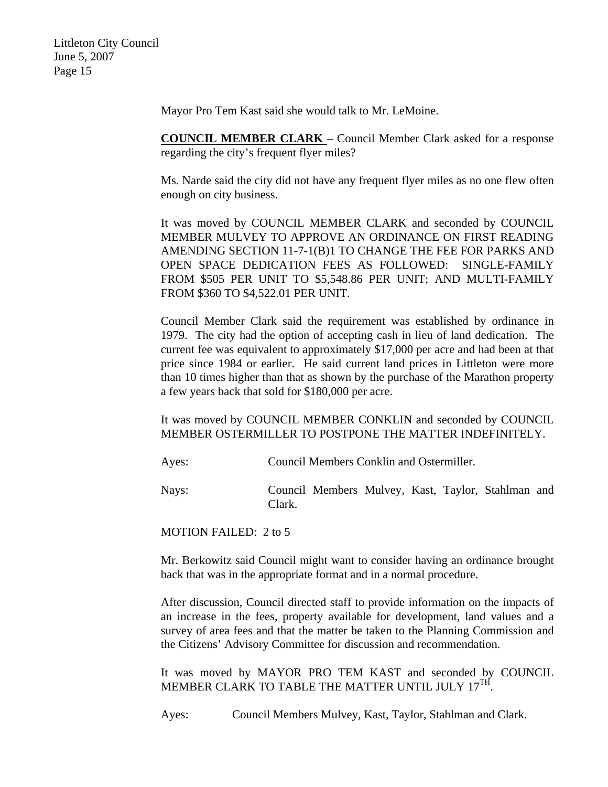Mayor Pro Tem Kast said she would talk to Mr. LeMoine.

**COUNCIL MEMBER CLARK** – Council Member Clark asked for a response regarding the city's frequent flyer miles?

Ms. Narde said the city did not have any frequent flyer miles as no one flew often enough on city business.

It was moved by COUNCIL MEMBER CLARK and seconded by COUNCIL MEMBER MULVEY TO APPROVE AN ORDINANCE ON FIRST READING AMENDING SECTION 11-7-1(B)1 TO CHANGE THE FEE FOR PARKS AND OPEN SPACE DEDICATION FEES AS FOLLOWED: SINGLE-FAMILY FROM \$505 PER UNIT TO \$5,548.86 PER UNIT; AND MULTI-FAMILY FROM \$360 TO \$4,522.01 PER UNIT.

Council Member Clark said the requirement was established by ordinance in 1979. The city had the option of accepting cash in lieu of land dedication. The current fee was equivalent to approximately \$17,000 per acre and had been at that price since 1984 or earlier. He said current land prices in Littleton were more than 10 times higher than that as shown by the purchase of the Marathon property a few years back that sold for \$180,000 per acre.

It was moved by COUNCIL MEMBER CONKLIN and seconded by COUNCIL MEMBER OSTERMILLER TO POSTPONE THE MATTER INDEFINITELY.

Ayes: Council Members Conklin and Ostermiller.

Nays: Council Members Mulvey, Kast, Taylor, Stahlman and Clark.

MOTION FAILED: 2 to 5

Mr. Berkowitz said Council might want to consider having an ordinance brought back that was in the appropriate format and in a normal procedure.

After discussion, Council directed staff to provide information on the impacts of an increase in the fees, property available for development, land values and a survey of area fees and that the matter be taken to the Planning Commission and the Citizens' Advisory Committee for discussion and recommendation.

It was moved by MAYOR PRO TEM KAST and seconded by COUNCIL MEMBER CLARK TO TABLE THE MATTER UNTIL JULY 17<sup>TH</sup>.

Ayes: Council Members Mulvey, Kast, Taylor, Stahlman and Clark.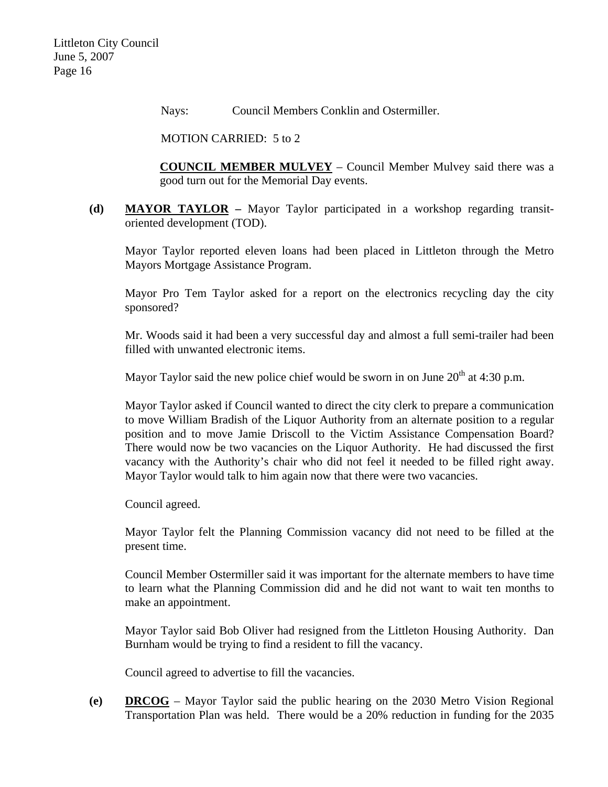Nays: Council Members Conklin and Ostermiller.

MOTION CARRIED: 5 to 2

**COUNCIL MEMBER MULVEY** – Council Member Mulvey said there was a good turn out for the Memorial Day events.

**(d) MAYOR TAYLOR –** Mayor Taylor participated in a workshop regarding transitoriented development (TOD).

Mayor Taylor reported eleven loans had been placed in Littleton through the Metro Mayors Mortgage Assistance Program.

Mayor Pro Tem Taylor asked for a report on the electronics recycling day the city sponsored?

Mr. Woods said it had been a very successful day and almost a full semi-trailer had been filled with unwanted electronic items.

Mayor Taylor said the new police chief would be sworn in on June  $20<sup>th</sup>$  at 4:30 p.m.

Mayor Taylor asked if Council wanted to direct the city clerk to prepare a communication to move William Bradish of the Liquor Authority from an alternate position to a regular position and to move Jamie Driscoll to the Victim Assistance Compensation Board? There would now be two vacancies on the Liquor Authority. He had discussed the first vacancy with the Authority's chair who did not feel it needed to be filled right away. Mayor Taylor would talk to him again now that there were two vacancies.

Council agreed.

Mayor Taylor felt the Planning Commission vacancy did not need to be filled at the present time.

Council Member Ostermiller said it was important for the alternate members to have time to learn what the Planning Commission did and he did not want to wait ten months to make an appointment.

Mayor Taylor said Bob Oliver had resigned from the Littleton Housing Authority. Dan Burnham would be trying to find a resident to fill the vacancy.

Council agreed to advertise to fill the vacancies.

**(e) DRCOG** – Mayor Taylor said the public hearing on the 2030 Metro Vision Regional Transportation Plan was held. There would be a 20% reduction in funding for the 2035